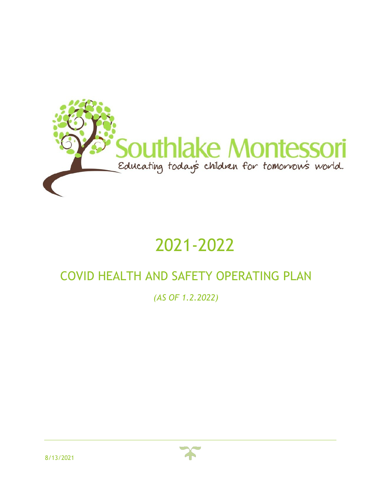

# 2021-2022

# COVID HEALTH AND SAFETY OPERATING PLAN

*(AS OF 1.2.2022)*

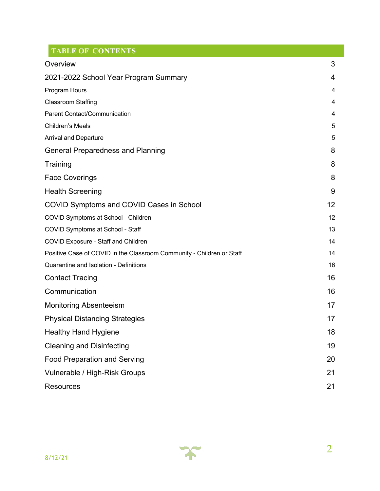# **TABLE OF CONTENTS**

| Overview                                                              | 3  |
|-----------------------------------------------------------------------|----|
| 2021-2022 School Year Program Summary                                 | 4  |
| Program Hours                                                         | 4  |
| <b>Classroom Staffing</b>                                             | 4  |
| Parent Contact/Communication                                          | 4  |
| Children's Meals                                                      | 5  |
| <b>Arrival and Departure</b>                                          | 5  |
| <b>General Preparedness and Planning</b>                              | 8  |
| Training                                                              | 8  |
| <b>Face Coverings</b>                                                 | 8  |
| <b>Health Screening</b>                                               | 9  |
| <b>COVID Symptoms and COVID Cases in School</b>                       | 12 |
| COVID Symptoms at School - Children                                   | 12 |
| COVID Symptoms at School - Staff                                      | 13 |
| <b>COVID Exposure - Staff and Children</b>                            | 14 |
| Positive Case of COVID in the Classroom Community - Children or Staff | 14 |
| Quarantine and Isolation - Definitions                                | 16 |
| <b>Contact Tracing</b>                                                | 16 |
| Communication                                                         | 16 |
| <b>Monitoring Absenteeism</b>                                         | 17 |
| <b>Physical Distancing Strategies</b>                                 | 17 |
| <b>Healthy Hand Hygiene</b>                                           | 18 |
| <b>Cleaning and Disinfecting</b>                                      | 19 |
| <b>Food Preparation and Serving</b>                                   | 20 |
| Vulnerable / High-Risk Groups                                         | 21 |
| <b>Resources</b>                                                      | 21 |

 $\boldsymbol{\chi}$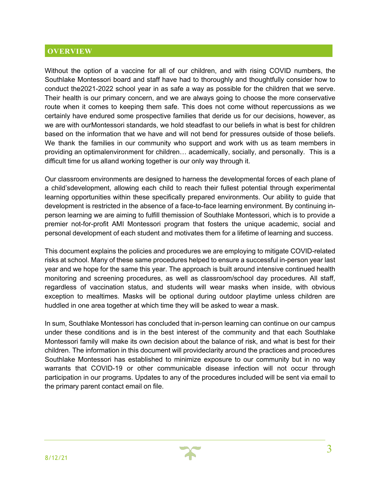#### **OVERVIEW**

Without the option of a vaccine for all of our children, and with rising COVID numbers, the Southlake Montessori board and staff have had to thoroughly and thoughtfully consider how to conduct the2021-2022 school year in as safe a way as possible for the children that we serve. Their health is our primary concern, and we are always going to choose the more conservative route when it comes to keeping them safe. This does not come without repercussions as we certainly have endured some prospective families that deride us for our decisions, however, as we are with ourMontessori standards, we hold steadfast to our beliefs in what is best for children based on the information that we have and will not bend for pressures outside of those beliefs. We thank the families in our community who support and work with us as team members in providing an optimalenvironment for children… academically, socially, and personally. This is a difficult time for us alland working together is our only way through it.

Our classroom environments are designed to harness the developmental forces of each plane of a child'sdevelopment, allowing each child to reach their fullest potential through experimental learning opportunities within these specifically prepared environments. Our ability to guide that development is restricted in the absence of a face-to-face learning environment. By continuing inperson learning we are aiming to fulfill themission of Southlake Montessori, which is to provide a premier not-for-profit AMI Montessori program that fosters the unique academic, social and personal development of each student and motivates them for a lifetime of learning and success.

This document explains the policies and procedures we are employing to mitigate COVID-related risks at school. Many of these same procedures helped to ensure a successful in-person year last year and we hope for the same this year. The approach is built around intensive continued health monitoring and screening procedures, as well as classroom/school day procedures. All staff, regardless of vaccination status, and students will wear masks when inside, with obvious exception to mealtimes. Masks will be optional during outdoor playtime unless children are huddled in one area together at which time they will be asked to wear a mask.

In sum, Southlake Montessori has concluded that in-person learning can continue on our campus under these conditions and is in the best interest of the community and that each Southlake Montessori family will make its own decision about the balance of risk, and what is best for their children. The information in this document will provideclarity around the practices and procedures Southlake Montessori has established to minimize exposure to our community but in no way warrants that COVID-19 or other communicable disease infection will not occur through participation in our programs. Updates to any of the procedures included will be sent via email to the primary parent contact email on file.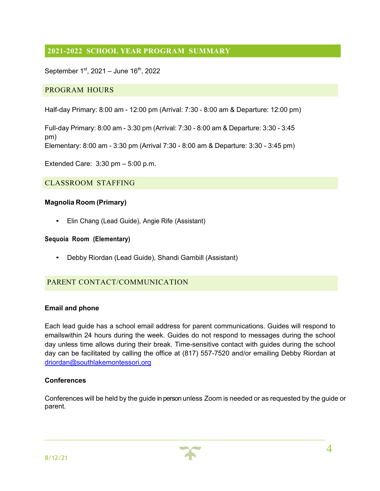# **2021-2022 SCHOOL YEAR PROGRAM SUMMARY**

September  $1^{st}$ , 2021 – June  $16^{th}$ , 2022

#### PROGRAM HOURS

Half-day Primary: 8:00 am - 12:00 pm (Arrival: 7:30 - 8:00 am & Departure: 12:00 pm)

Full-day Primary: 8:00 am - 3:30 pm (Arrival: 7:30 - 8:00 am & Departure: 3:30 - 3:45 pm) Elementary: 8:00 am - 3:30 pm (Arrival 7:30 - 8:00 am & Departure: 3:30 - 3:45 pm)

Extended Care: 3:30 pm – 5:00 p.m.

#### CLASSROOM STAFFING

#### **Magnolia Room (Primary)**

• Elin Chang (Lead Guide), Angie Rife (Assistant)

#### **Sequoia Room (Elementary)**

• Debby Riordan (Lead Guide), Shandi Gambill (Assistant)

#### PARENT CONTACT/COMMUNICATION

#### **Email and phone**

Each lead guide has a school email address for parent communications. Guides will respond to emailswithin 24 hours during the week. Guides do not respond to messages during the school day unless time allows during their break. Time-sensitive contact with guides during the school day can be facilitated by calling the office at (817) 557-7520 and/or emailing Debby Riordan at driordan@southlakemontessori.org

#### **Conferences**

Conferences will be held by the guide in person unless Zoom is needed or as requested by the guide or parent.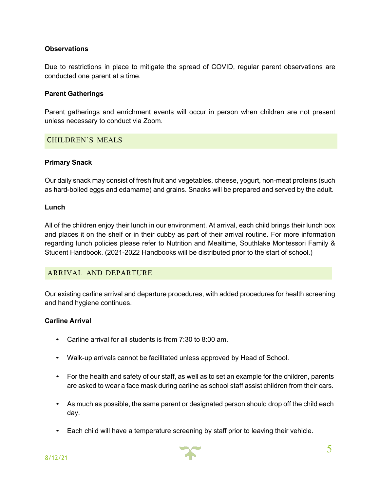#### **Observations**

Due to restrictions in place to mitigate the spread of COVID, regular parent observations are conducted one parent at a time.

#### **Parent Gatherings**

Parent gatherings and enrichment events will occur in person when children are not present unless necessary to conduct via Zoom.

#### CHILDREN'S MEALS

#### **Primary Snack**

Our daily snack may consist of fresh fruit and vegetables, cheese, yogurt, non-meat proteins (such as hard-boiled eggs and edamame) and grains. Snacks will be prepared and served by the adult.

#### **Lunch**

All of the children enjoy their lunch in our environment. At arrival, each child brings their lunch box and places it on the shelf or in their cubby as part of their arrival routine. For more information regarding lunch policies please refer to Nutrition and Mealtime, Southlake Montessori Family & Student Handbook. (2021-2022 Handbooks will be distributed prior to the start of school.)

#### ARRIVAL AND DEPARTURE

Our existing carline arrival and departure procedures, with added procedures for health screening and hand hygiene continues.

#### **Carline Arrival**

- Carline arrival for all students is from 7:30 to 8:00 am.
- Walk-up arrivals cannot be facilitated unless approved by Head of School.
- For the health and safety of our staff, as well as to set an example for the children, parents are asked to wear a face mask during carline as school staff assist children from their cars.
- As much as possible, the same parent or designated person should drop off the child each day.
- Each child will have a temperature screening by staff prior to leaving their vehicle.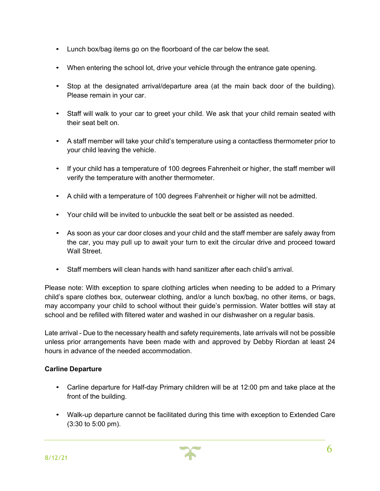- Lunch box/bag items go on the floorboard of the car below the seat.
- When entering the school lot, drive your vehicle through the entrance gate opening.
- Stop at the designated arrival/departure area (at the main back door of the building). Please remain in your car.
- Staff will walk to your car to greet your child. We ask that your child remain seated with their seat belt on.
- A staff member will take your child's temperature using a contactless thermometer prior to your child leaving the vehicle.
- If your child has a temperature of 100 degrees Fahrenheit or higher, the staff member will verify the temperature with another thermometer.
- A child with a temperature of 100 degrees Fahrenheit or higher will not be admitted.
- Your child will be invited to unbuckle the seat belt or be assisted as needed.
- As soon as your car door closes and your child and the staff member are safely away from the car, you may pull up to await your turn to exit the circular drive and proceed toward Wall Street.
- Staff members will clean hands with hand sanitizer after each child's arrival.

Please note: With exception to spare clothing articles when needing to be added to a Primary child's spare clothes box, outerwear clothing, and/or a lunch box/bag, no other items, or bags, may accompany your child to school without their guide's permission. Water bottles will stay at school and be refilled with filtered water and washed in our dishwasher on a regular basis.

Late arrival - Due to the necessary health and safety requirements, late arrivals will not be possible unless prior arrangements have been made with and approved by Debby Riordan at least 24 hours in advance of the needed accommodation.

#### **Carline Departure**

- Carline departure for Half-day Primary children will be at 12:00 pm and take place at the front of the building.
- Walk-up departure cannot be facilitated during this time with exception to Extended Care (3:30 to 5:00 pm).

6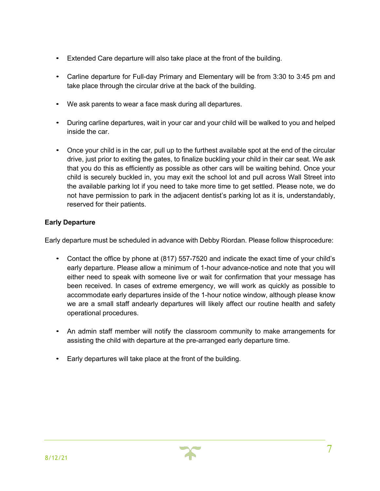- Extended Care departure will also take place at the front of the building.
- Carline departure for Full-day Primary and Elementary will be from 3:30 to 3:45 pm and take place through the circular drive at the back of the building.
- We ask parents to wear a face mask during all departures.
- During carline departures, wait in your car and your child will be walked to you and helped inside the car.
- Once your child is in the car, pull up to the furthest available spot at the end of the circular drive, just prior to exiting the gates, to finalize buckling your child in their car seat. We ask that you do this as efficiently as possible as other cars will be waiting behind. Once your child is securely buckled in, you may exit the school lot and pull across Wall Street into the available parking lot if you need to take more time to get settled. Please note, we do not have permission to park in the adjacent dentist's parking lot as it is, understandably, reserved for their patients.

#### **Early Departure**

Early departure must be scheduled in advance with Debby Riordan. Please follow thisprocedure:

- Contact the office by phone at (817) 557-7520 and indicate the exact time of your child's early departure. Please allow a minimum of 1-hour advance-notice and note that you will either need to speak with someone live or wait for confirmation that your message has been received. In cases of extreme emergency, we will work as quickly as possible to accommodate early departures inside of the 1-hour notice window, although please know we are a small staff andearly departures will likely affect our routine health and safety operational procedures.
- An admin staff member will notify the classroom community to make arrangements for assisting the child with departure at the pre-arranged early departure time.
- Early departures will take place at the front of the building.

7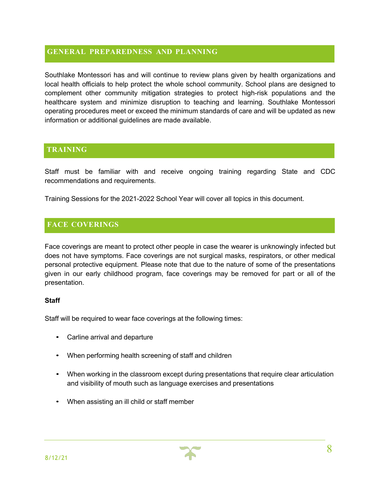#### **GENERAL PREPAREDNESS AND PLANNING**

Southlake Montessori has and will continue to review plans given by health organizations and local health officials to help protect the whole school community. School plans are designed to complement other community mitigation strategies to protect high-risk populations and the healthcare system and minimize disruption to teaching and learning. Southlake Montessori operating procedures meet or exceed the minimum standards of care and will be updated as new information or additional guidelines are made available.

# **TRAINING**

Staff must be familiar with and receive ongoing training regarding State and CDC recommendations and requirements.

Training Sessions for the 2021-2022 School Year will cover all topics in this document.

# **FACE COVERINGS**

Face coverings are meant to protect other people in case the wearer is unknowingly infected but does not have symptoms. Face coverings are not surgical masks, respirators, or other medical personal protective equipment. Please note that due to the nature of some of the presentations given in our early childhood program, face coverings may be removed for part or all of the presentation.

#### **Staff**

Staff will be required to wear face coverings at the following times:

- Carline arrival and departure
- When performing health screening of staff and children
- When working in the classroom except during presentations that require clear articulation and visibility of mouth such as language exercises and presentations
- When assisting an ill child or staff member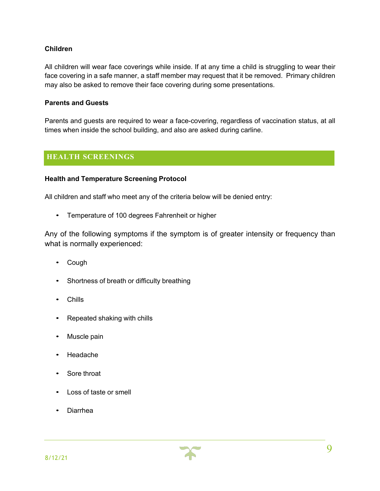#### **Children**

All children will wear face coverings while inside. If at any time a child is struggling to wear their face covering in a safe manner, a staff member may request that it be removed. Primary children may also be asked to remove their face covering during some presentations.

#### **Parents and Guests**

Parents and guests are required to wear a face-covering, regardless of vaccination status, at all times when inside the school building, and also are asked during carline.

# **HEALTH SCREENINGS**

#### **Health and Temperature Screening Protocol**

All children and staff who meet any of the criteria below will be denied entry:

• Temperature of 100 degrees Fahrenheit or higher

Any of the following symptoms if the symptom is of greater intensity or frequency than what is normally experienced:

- Cough
- Shortness of breath or difficulty breathing
- Chills
- Repeated shaking with chills
- Muscle pain
- Headache
- Sore throat
- Loss of taste or smell
- Diarrhea

9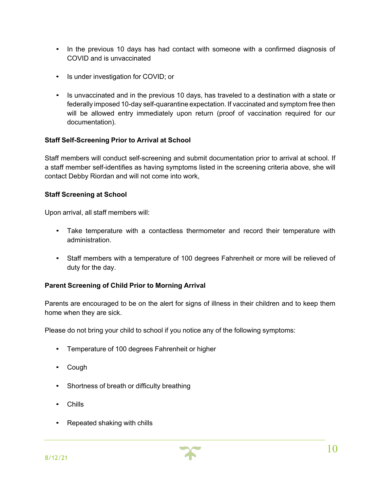- In the previous 10 days has had contact with someone with a confirmed diagnosis of COVID and is unvaccinated
- Is under investigation for COVID; or
- Is unvaccinated and in the previous 10 days, has traveled to a destination with a state or federally imposed 10-day self-quarantine expectation. If vaccinated and symptom free then will be allowed entry immediately upon return (proof of vaccination required for our documentation).

#### **Staff Self-Screening Prior to Arrival at School**

Staff members will conduct self-screening and submit documentation prior to arrival at school. If a staff member self-identifies as having symptoms listed in the screening criteria above, she will contact Debby Riordan and will not come into work,

#### **Staff Screening at School**

Upon arrival, all staff members will:

- Take temperature with a contactless thermometer and record their temperature with administration.
- Staff members with a temperature of 100 degrees Fahrenheit or more will be relieved of duty for the day.

#### **Parent Screening of Child Prior to Morning Arrival**

Parents are encouraged to be on the alert for signs of illness in their children and to keep them home when they are sick.

Please do not bring your child to school if you notice any of the following symptoms:

- Temperature of 100 degrees Fahrenheit or higher
- Cough
- Shortness of breath or difficulty breathing
- Chills
- Repeated shaking with chills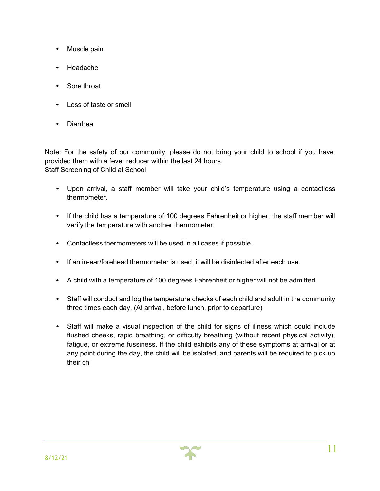- Muscle pain
- Headache
- Sore throat
- Loss of taste or smell
- Diarrhea

Note: For the safety of our community, please do not bring your child to school if you have provided them with a fever reducer within the last 24 hours. Staff Screening of Child at School

- Upon arrival, a staff member will take your child's temperature using a contactless thermometer.
- If the child has a temperature of 100 degrees Fahrenheit or higher, the staff member will verify the temperature with another thermometer.
- Contactless thermometers will be used in all cases if possible.
- If an in-ear/forehead thermometer is used, it will be disinfected after each use.
- A child with a temperature of 100 degrees Fahrenheit or higher will not be admitted.
- Staff will conduct and log the temperature checks of each child and adult in the community three times each day. (At arrival, before lunch, prior to departure)
- Staff will make a visual inspection of the child for signs of illness which could include flushed cheeks, rapid breathing, or difficulty breathing (without recent physical activity), fatigue, or extreme fussiness. If the child exhibits any of these symptoms at arrival or at any point during the day, the child will be isolated, and parents will be required to pick up their chi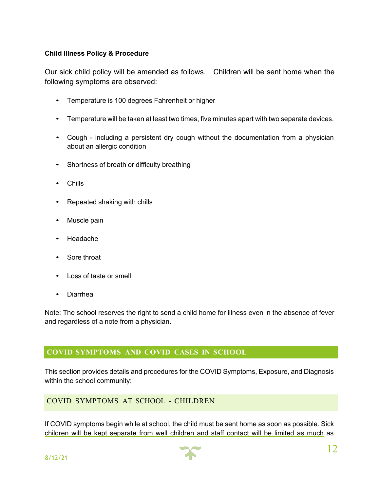#### **Child Illness Policy & Procedure**

Our sick child policy will be amended as follows. Children will be sent home when the following symptoms are observed:

- Temperature is 100 degrees Fahrenheit or higher
- Temperature will be taken at least two times, five minutes apart with two separate devices.
- Cough including a persistent dry cough without the documentation from a physician about an allergic condition
- Shortness of breath or difficulty breathing
- Chills
- Repeated shaking with chills
- Muscle pain
- Headache
- Sore throat
- Loss of taste or smell
- Diarrhea

Note: The school reserves the right to send a child home for illness even in the absence of fever and regardless of a note from a physician.

# **COVID SYMPTOMS AND COVID CASES IN SCHOOL**

This section provides details and procedures for the COVID Symptoms, Exposure, and Diagnosis within the school community:

# COVID SYMPTOMS AT SCHOOL - CHILDREN

If COVID symptoms begin while at school, the child must be sent home as soon as possible. Sick children will be kept separate from well children and staff contact will be limited as much as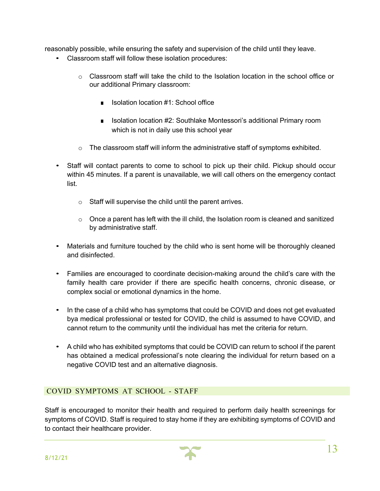reasonably possible, while ensuring the safety and supervision of the child until they leave.

- Classroom staff will follow these isolation procedures:
	- $\circ$  Classroom staff will take the child to the Isolation location in the school office or our additional Primary classroom:
		- Isolation location #1: School office
		- Isolation location #2: Southlake Montessori's additional Primary room which is not in daily use this school year
	- $\circ$  The classroom staff will inform the administrative staff of symptoms exhibited.
- Staff will contact parents to come to school to pick up their child. Pickup should occur within 45 minutes. If a parent is unavailable, we will call others on the emergency contact list.
	- o Staff will supervise the child until the parent arrives.
	- $\circ$  Once a parent has left with the ill child, the Isolation room is cleaned and sanitized by administrative staff.
- Materials and furniture touched by the child who is sent home will be thoroughly cleaned and disinfected.
- Families are encouraged to coordinate decision-making around the child's care with the family health care provider if there are specific health concerns, chronic disease, or complex social or emotional dynamics in the home.
- In the case of a child who has symptoms that could be COVID and does not get evaluated bya medical professional or tested for COVID, the child is assumed to have COVID, and cannot return to the community until the individual has met the criteria for return.
- A child who has exhibited symptoms that could be COVID can return to school if the parent has obtained a medical professional's note clearing the individual for return based on a negative COVID test and an alternative diagnosis.

# COVID SYMPTOMS AT SCHOOL - STAFF

Staff is encouraged to monitor their health and required to perform daily health screenings for symptoms of COVID. Staff is required to stay home if they are exhibiting symptoms of COVID and to contact their healthcare provider.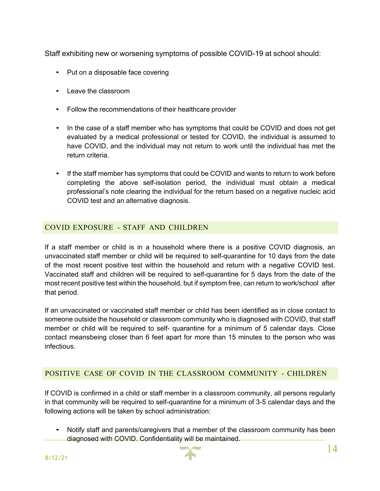Staff exhibiting new or worsening symptoms of possible COVID-19 at school should:

- Put on a disposable face covering
- Leave the classroom
- Follow the recommendations of their healthcare provider
- In the case of a staff member who has symptoms that could be COVID and does not get evaluated by a medical professional or tested for COVID, the individual is assumed to have COVID, and the individual may not return to work until the individual has met the return criteria.
- If the staff member has symptoms that could be COVID and wants to return to work before completing the above self-isolation period, the individual must obtain a medical professional's note clearing the individual for the return based on a negative nucleic acid COVID test and an alternative diagnosis.

# COVID EXPOSURE - STAFF AND CHILDREN

If a staff member or child is in a household where there is a positive COVID diagnosis, an unvaccinated staff member or child will be required to self-quarantine for 10 days from the date of the most recent positive test within the household and return with a negative COVID test. Vaccinated staff and children will be required to self-quarantine for 5 days from the date of the most recent positive test within the household, but if symptom free, can return to work/school after that period.

If an unvaccinated or vaccinated staff member or child has been identified as in close contact to someone outside the household or classroom community who is diagnosed with COVID, that staff member or child will be required to self- quarantine for a minimum of 5 calendar days. Close contact meansbeing closer than 6 feet apart for more than 15 minutes to the person who was infectious.

# POSITIVE CASE OF COVID IN THE CLASSROOM COMMUNITY - CHILDREN

If COVID is confirmed in a child or staff member in a classroom community, all persons regularly in that community will be required to self-quarantine for a minimum of 3-5 calendar days and the following actions will be taken by school administration:

• Notify staff and parents/caregivers that a member of the classroom community has been diagnosed with COVID. Confidentiality will be maintained.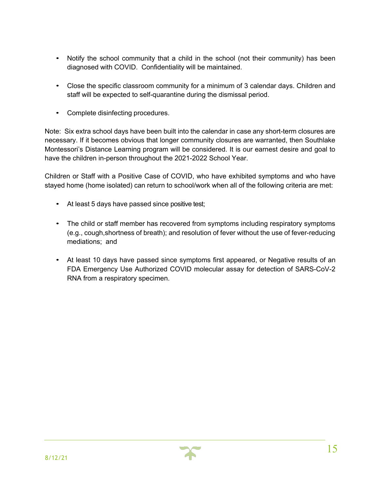- Notify the school community that a child in the school (not their community) has been diagnosed with COVID. Confidentiality will be maintained.
- Close the specific classroom community for a minimum of 3 calendar days. Children and staff will be expected to self-quarantine during the dismissal period.
- Complete disinfecting procedures.

Note: Six extra school days have been built into the calendar in case any short-term closures are necessary. If it becomes obvious that longer community closures are warranted, then Southlake Montessori's Distance Learning program will be considered. It is our earnest desire and goal to have the children in-person throughout the 2021-2022 School Year.

Children or Staff with a Positive Case of COVID, who have exhibited symptoms and who have stayed home (home isolated) can return to school/work when all of the following criteria are met:

- At least 5 days have passed since positive test;
- The child or staff member has recovered from symptoms including respiratory symptoms (e.g., cough,shortness of breath); and resolution of fever without the use of fever-reducing mediations; and
- At least 10 days have passed since symptoms first appeared, or Negative results of an FDA Emergency Use Authorized COVID molecular assay for detection of SARS-CoV-2 RNA from a respiratory specimen.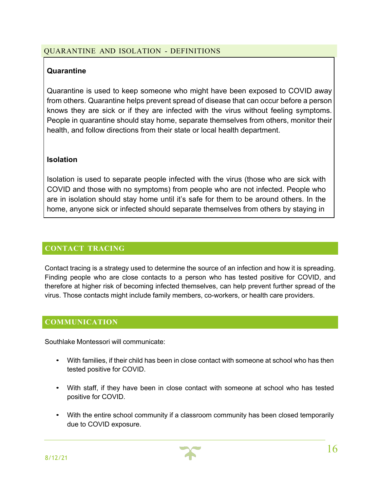# QUARANTINE AND ISOLATION - DEFINITIONS

# **Quarantine**

Quarantine is used to keep someone who might have been exposed to COVID away from others. Quarantine helps prevent spread of disease that can occur before a person knows they are sick or if they are infected with the virus without feeling symptoms. People in quarantine should stay home, separate themselves from others, monitor their health, and follow directions from their state or local health department.

# **Isolation**

Isolation is used to separate people infected with the virus (those who are sick with COVID and those with no symptoms) from people who are not infected. People who are in isolation should stay home until it's safe for them to be around others. In the home, anyone sick or infected should separate themselves from others by staying in

# **CONTACT TRACING**

Contact tracing is a strategy used to determine the source of an infection and how it is spreading. Finding people who are close contacts to a person who has tested positive for COVID, and therefore at higher risk of becoming infected themselves, can help prevent further spread of the virus. Those contacts might include family members, co-workers, or health care providers.

# **COMMUNICATION**

Southlake Montessori will communicate:

- With families, if their child has been in close contact with someone at school who has then tested positive for COVID.
- With staff, if they have been in close contact with someone at school who has tested positive for COVID.
- With the entire school community if a classroom community has been closed temporarily due to COVID exposure.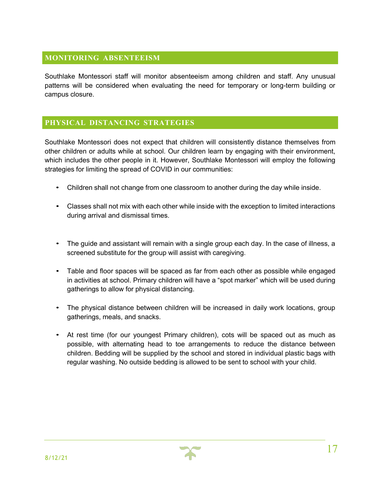# **MONITORING ABSENTEEISM**

Southlake Montessori staff will monitor absenteeism among children and staff. Any unusual patterns will be considered when evaluating the need for temporary or long-term building or campus closure.

#### **PHYSICAL DISTANCING STRATEGIES**

Southlake Montessori does not expect that children will consistently distance themselves from other children or adults while at school. Our children learn by engaging with their environment, which includes the other people in it. However, Southlake Montessori will employ the following strategies for limiting the spread of COVID in our communities:

- Children shall not change from one classroom to another during the day while inside.
- Classes shall not mix with each other while inside with the exception to limited interactions during arrival and dismissal times.
- The guide and assistant will remain with a single group each day. In the case of illness, a screened substitute for the group will assist with caregiving.
- Table and floor spaces will be spaced as far from each other as possible while engaged in activities at school. Primary children will have a "spot marker" which will be used during gatherings to allow for physical distancing.
- The physical distance between children will be increased in daily work locations, group gatherings, meals, and snacks.
- At rest time (for our youngest Primary children), cots will be spaced out as much as possible, with alternating head to toe arrangements to reduce the distance between children. Bedding will be supplied by the school and stored in individual plastic bags with regular washing. No outside bedding is allowed to be sent to school with your child.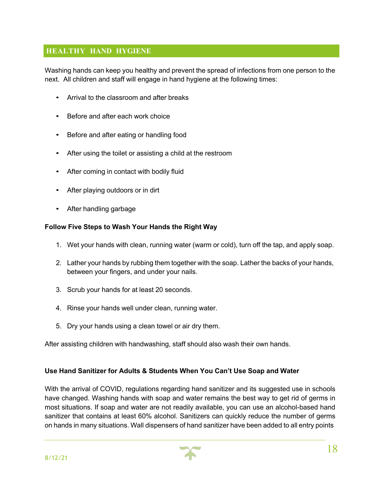# **HEALTHY HAND HYGIENE**

Washing hands can keep you healthy and prevent the spread of infections from one person to the next. All children and staff will engage in hand hygiene at the following times:

- Arrival to the classroom and after breaks
- Before and after each work choice
- Before and after eating or handling food
- After using the toilet or assisting a child at the restroom
- After coming in contact with bodily fluid
- After playing outdoors or in dirt
- After handling garbage

#### **Follow Five Steps to Wash Your Hands the Right Way**

- 1. Wet your hands with clean, running water (warm or cold), turn off the tap, and apply soap.
- 2. Lather your hands by rubbing them together with the soap. Lather the backs of your hands, between your fingers, and under your nails.
- 3. Scrub your hands for at least 20 seconds.
- 4. Rinse your hands well under clean, running water.
- 5. Dry your hands using a clean towel or air dry them.

After assisting children with handwashing, staff should also wash their own hands.

#### **Use Hand Sanitizer for Adults & Students When You Can't Use Soap and Water**

With the arrival of COVID, regulations regarding hand sanitizer and its suggested use in schools have changed. Washing hands with soap and water remains the best way to get rid of germs in most situations. If soap and water are not readily available, you can use an alcohol-based hand sanitizer that contains at least 60% alcohol. Sanitizers can quickly reduce the number of germs on hands in many situations. Wall dispensers of hand sanitizer have been added to all entry points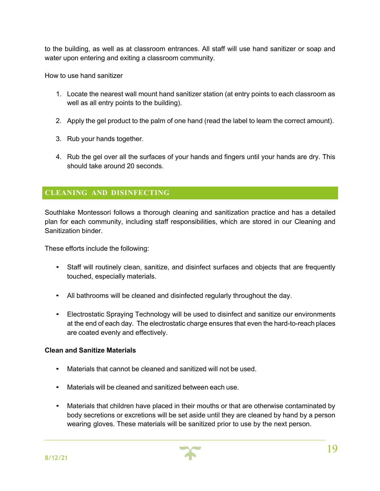to the building, as well as at classroom entrances. All staff will use hand sanitizer or soap and water upon entering and exiting a classroom community.

How to use hand sanitizer

- 1. Locate the nearest wall mount hand sanitizer station (at entry points to each classroom as well as all entry points to the building).
- 2. Apply the gel product to the palm of one hand (read the label to learn the correct amount).
- 3. Rub your hands together.
- 4. Rub the gel over all the surfaces of your hands and fingers until your hands are dry. This should take around 20 seconds.

# **CLEANING AND DISINFECTING**

Southlake Montessori follows a thorough cleaning and sanitization practice and has a detailed plan for each community, including staff responsibilities, which are stored in our Cleaning and Sanitization binder.

These efforts include the following:

- Staff will routinely clean, sanitize, and disinfect surfaces and objects that are frequently touched, especially materials.
- All bathrooms will be cleaned and disinfected regularly throughout the day.
- Electrostatic Spraying Technology will be used to disinfect and sanitize our environments at the end of each day. The electrostatic charge ensures that even the hard-to-reach places are coated evenly and effectively.

#### **Clean and Sanitize Materials**

- Materials that cannot be cleaned and sanitized will not be used.
- Materials will be cleaned and sanitized between each use.
- Materials that children have placed in their mouths or that are otherwise contaminated by body secretions or excretions will be set aside until they are cleaned by hand by a person wearing gloves. These materials will be sanitized prior to use by the next person.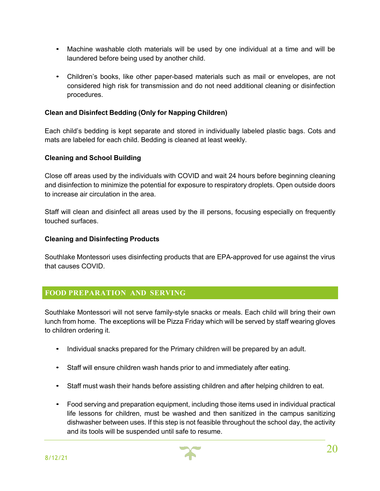- Machine washable cloth materials will be used by one individual at a time and will be laundered before being used by another child.
- Children's books, like other paper-based materials such as mail or envelopes, are not considered high risk for transmission and do not need additional cleaning or disinfection procedures.

#### **Clean and Disinfect Bedding (Only for Napping Children)**

Each child's bedding is kept separate and stored in individually labeled plastic bags. Cots and mats are labeled for each child. Bedding is cleaned at least weekly.

#### **Cleaning and School Building**

Close off areas used by the individuals with COVID and wait 24 hours before beginning cleaning and disinfection to minimize the potential for exposure to respiratory droplets. Open outside doors to increase air circulation in the area.

Staff will clean and disinfect all areas used by the ill persons, focusing especially on frequently touched surfaces.

#### **Cleaning and Disinfecting Products**

Southlake Montessori uses disinfecting products that are EPA-approved for use against the virus that causes COVID.

#### **FOOD PREPARATION AND SERVING**

Southlake Montessori will not serve family-style snacks or meals. Each child will bring their own lunch from home. The exceptions will be Pizza Friday which will be served by staff wearing gloves to children ordering it.

- Individual snacks prepared for the Primary children will be prepared by an adult.
- Staff will ensure children wash hands prior to and immediately after eating.
- Staff must wash their hands before assisting children and after helping children to eat.
- Food serving and preparation equipment, including those items used in individual practical life lessons for children, must be washed and then sanitized in the campus sanitizing dishwasher between uses. If this step is not feasible throughout the school day, the activity and its tools will be suspended until safe to resume.